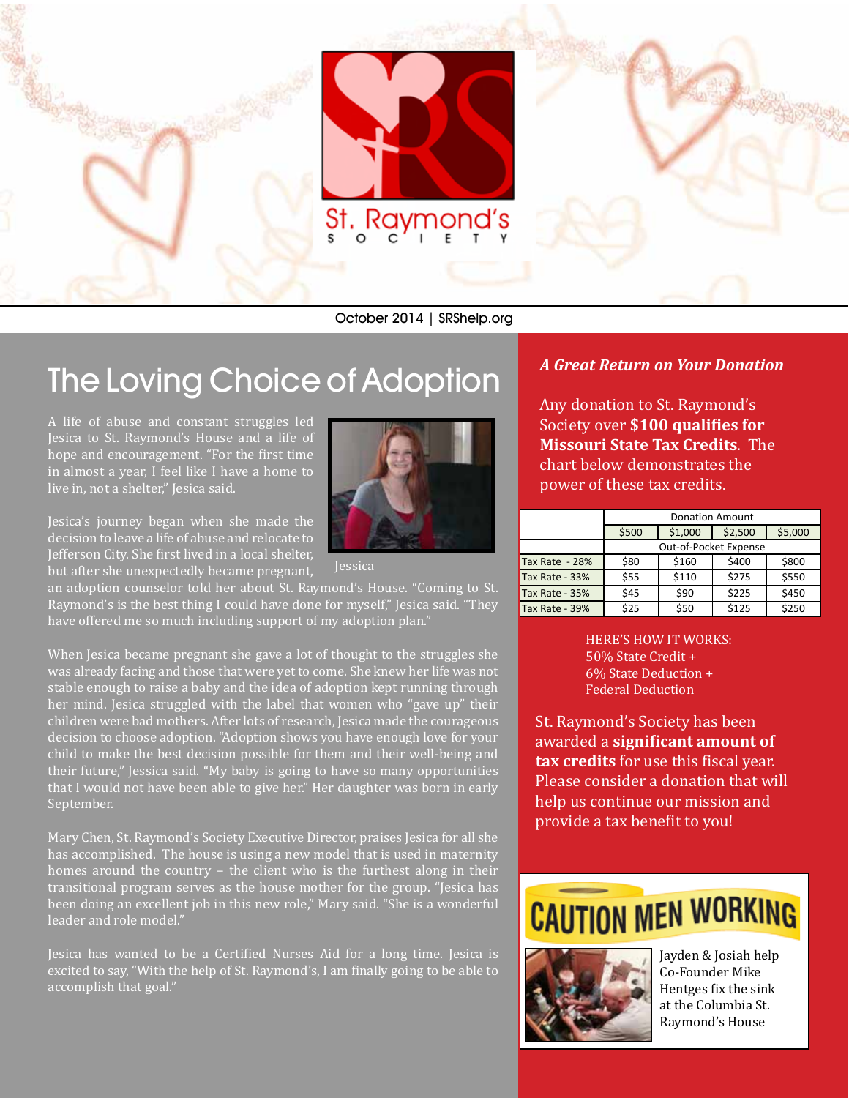

October 2014 | SRShelp.org

## The Loving Choice of Adoption

A life of abuse and constant struggles led Jesica to St. Raymond's House and a life of hope and encouragement. "For the first time in almost a year, I feel like I have a home to live in, not a shelter," Jesica said.

Jessica

Jesica's journey began when she made the decision to leave a life of abuse and relocate to Jefferson City. She first lived in a local shelter, but after she unexpectedly became pregnant,

an adoption counselor told her about St. Raymond's House. "Coming to St. Raymond's is the best thing I could have done for myself," Jesica said. "They have offered me so much including support of my adoption plan."

When Jesica became pregnant she gave a lot of thought to the struggles she was already facing and those that were yet to come. She knew her life was not stable enough to raise a baby and the idea of adoption kept running through her mind. Jesica struggled with the label that women who "gave up" their children were bad mothers. After lots of research, Jesica made the courageous decision to choose adoption. "Adoption shows you have enough love for your child to make the best decision possible for them and their well-being and their future," Jessica said. "My baby is going to have so many opportunities that I would not have been able to give her." Her daughter was born in early September.

Mary Chen, St. Raymond's Society Executive Director, praises Jesica for all she has accomplished. The house is using a new model that is used in maternity homes around the country – the client who is the furthest along in their transitional program serves as the house mother for the group. "Jesica has been doing an excellent job in this new role," Mary said. "She is a wonderful leader and role model."

Jesica has wanted to be a Certified Nurses Aid for a long time. Jesica is excited to say, "With the help of St. Raymond's, I am finally going to be able to accomplish that goal."

#### *A Great Return on Your Donation*

Any donation to St. Raymond's Society over **\$100 qualifies for Missouri State Tax Credits**. The chart below demonstrates the power of these tax credits.

|                | <b>Donation Amount</b> |         |         |         |
|----------------|------------------------|---------|---------|---------|
|                | \$500                  | \$1,000 | \$2,500 | \$5,000 |
|                | Out-of-Pocket Expense  |         |         |         |
| Tax Rate - 28% | \$80                   | \$160   | \$400   | \$800   |
| Tax Rate - 33% | \$55                   | \$110   | \$275   | \$550   |
| Tax Rate - 35% | \$45                   | \$90    | \$225   | \$450   |
| Tax Rate - 39% | \$25                   | \$50    | \$125   | \$250   |

HERE'S HOW IT WORKS: 50% State Credit + 6% State Deduction + Federal Deduction

St. Raymond's Society has been awarded a **significant amount of tax credits** for use this fiscal year. Please consider a donation that will help us continue our mission and provide a tax benefit to you!

## **CAUTION MEN WORKING**



Jayden & Josiah help Co-Founder Mike Hentges fix the sink at the Columbia St. Raymond's House

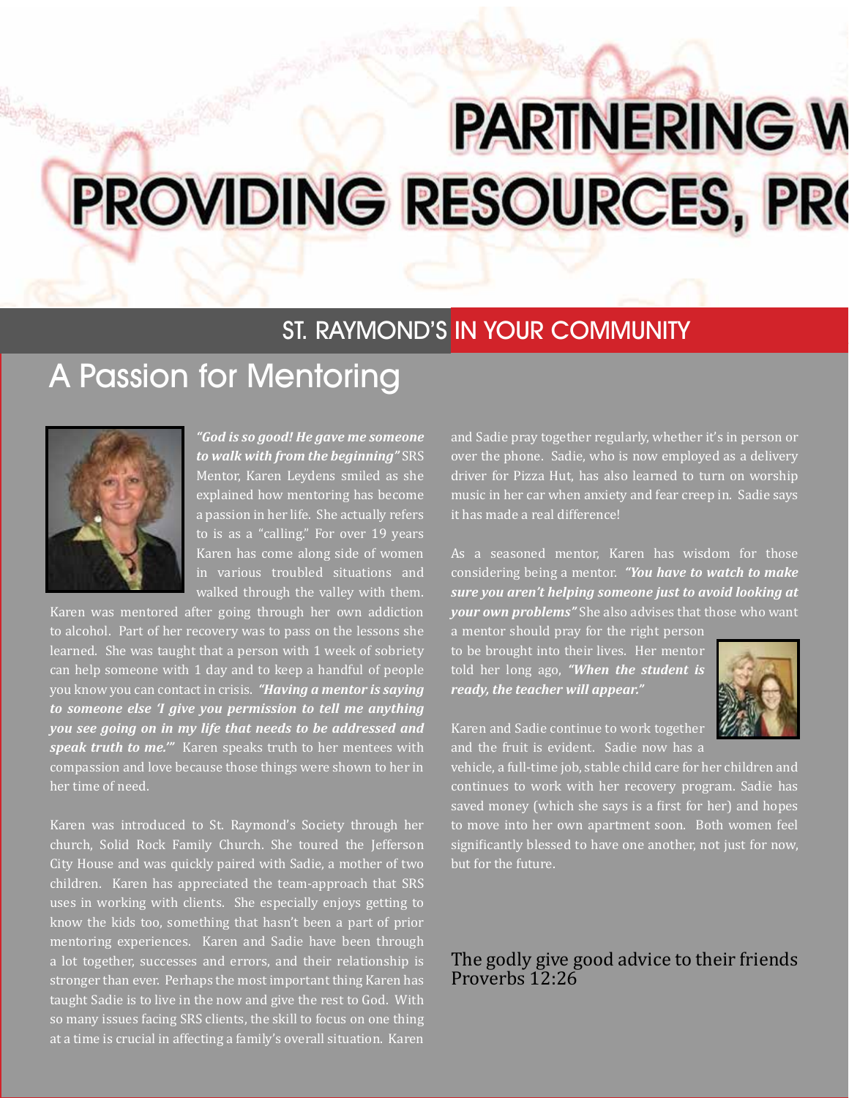# **PARTNERING W** PROVIDING RESOURCES, PRO

## ST. RAYMOND'S IN YOUR COMMUNITY

## A Passion for Mentoring



*"God is so good! He gave me someone to walk with from the beginning"* SRS Mentor, Karen Leydens smiled as she explained how mentoring has become a passion in her life. She actually refers to is as a "calling." For over 19 years Karen has come along side of women in various troubled situations and walked through the valley with them.

Karen was mentored after going through her own addiction to alcohol. Part of her recovery was to pass on the lessons she learned. She was taught that a person with 1 week of sobriety can help someone with 1 day and to keep a handful of people you know you can contact in crisis. *"Having a mentor is saying to someone else 'I give you permission to tell me anything you see going on in my life that needs to be addressed and speak truth to me.'"* Karen speaks truth to her mentees with compassion and love because those things were shown to her in her time of need.

Karen was introduced to St. Raymond's Society through her church, Solid Rock Family Church. She toured the Jefferson City House and was quickly paired with Sadie, a mother of two children. Karen has appreciated the team-approach that SRS uses in working with clients. She especially enjoys getting to know the kids too, something that hasn't been a part of prior mentoring experiences. Karen and Sadie have been through a lot together, successes and errors, and their relationship is stronger than ever. Perhaps the most important thing Karen has taught Sadie is to live in the now and give the rest to God. With so many issues facing SRS clients, the skill to focus on one thing at a time is crucial in affecting a family's overall situation. Karen

and Sadie pray together regularly, whether it's in person or over the phone. Sadie, who is now employed as a delivery driver for Pizza Hut, has also learned to turn on worship music in her car when anxiety and fear creep in. Sadie says it has made a real difference!

As a seasoned mentor, Karen has wisdom for those considering being a mentor. *"You have to watch to make sure you aren't helping someone just to avoid looking at your own problems"* She also advises that those who want a mentor should pray for the right person

to be brought into their lives. Her mentor told her long ago, *"When the student is ready, the teacher will appear."*



Karen and Sadie continue to work together and the fruit is evident. Sadie now has a

vehicle, a full-time job, stable child care for her children and continues to work with her recovery program. Sadie has saved money (which she says is a first for her) and hopes to move into her own apartment soon. Both women feel significantly blessed to have one another, not just for now, but for the future.

#### The godly give good advice to their friends Proverbs 12:26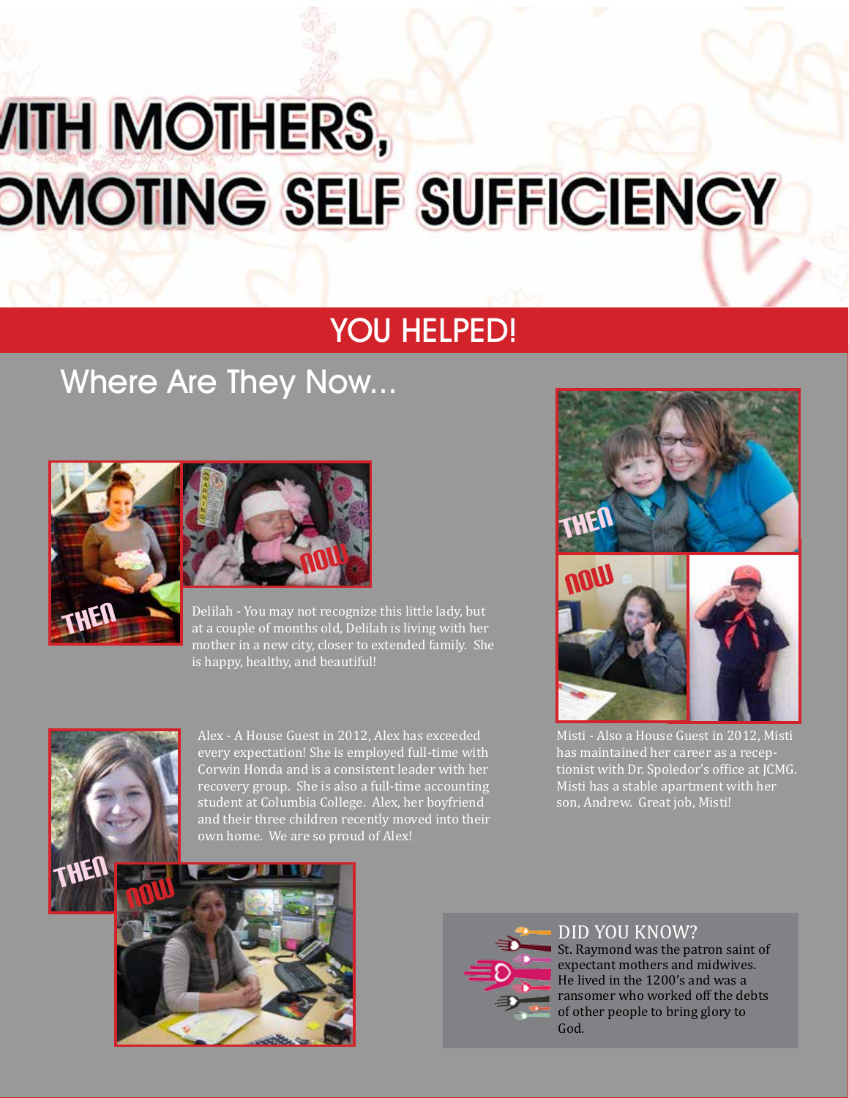# *ITH MOTHERS,* **OMOTING SELF SUFFICIENCY**

## YOU HELPED!

## Where Are They Now...





Delilah - You may not recognize this little lady, but at a couple of months old, Delilah is living with her mother in a new city, closer to extended family. She is happy, healthy, and beautiful!



Alex - A House Guest in 2012, Alex has exceeded every expectation! She is employed full-time with Corwin Honda and is a consistent leader with her recovery group. She is also a full-time accounting student at Columbia College. Alex, her boyfriend and their three children recently moved into their own home. We are so proud of Alex!



Misti - Also a House Guest in 2012, Misti has maintained her career as a receptionist with Dr. Spoledor's office at JCMG. Misti has a stable apartment with her son, Andrew. Great job, Misti!





DID YOU KNOW? St. Raymond was the patron saint of expectant mothers and midwives. He lived in the 1200's and was a ransomer who worked off the debts of other people to bring glory to God.